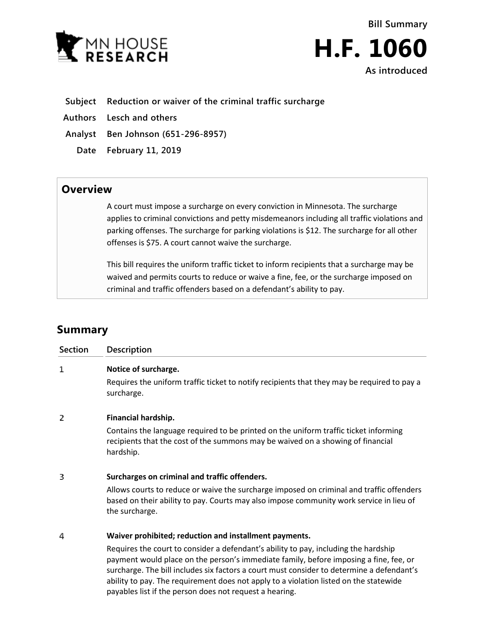



## **Subject Reduction or waiver of the criminal traffic surcharge**

**Authors Lesch and others**

**Analyst Ben Johnson (651-296-8957)**

**Date February 11, 2019**

## **Overview**

A court must impose a surcharge on every conviction in Minnesota. The surcharge applies to criminal convictions and petty misdemeanors including all traffic violations and parking offenses. The surcharge for parking violations is \$12. The surcharge for all other offenses is \$75. A court cannot waive the surcharge.

This bill requires the uniform traffic ticket to inform recipients that a surcharge may be waived and permits courts to reduce or waive a fine, fee, or the surcharge imposed on criminal and traffic offenders based on a defendant's ability to pay.

## **Summary**

| Section | Description                                                                                                                                                                                                                                                                                                                                                                                                                                                                             |
|---------|-----------------------------------------------------------------------------------------------------------------------------------------------------------------------------------------------------------------------------------------------------------------------------------------------------------------------------------------------------------------------------------------------------------------------------------------------------------------------------------------|
| 1       | Notice of surcharge.<br>Requires the uniform traffic ticket to notify recipients that they may be required to pay a<br>surcharge.                                                                                                                                                                                                                                                                                                                                                       |
| 2       | Financial hardship.<br>Contains the language required to be printed on the uniform traffic ticket informing<br>recipients that the cost of the summons may be waived on a showing of financial<br>hardship.                                                                                                                                                                                                                                                                             |
| 3       | Surcharges on criminal and traffic offenders.<br>Allows courts to reduce or waive the surcharge imposed on criminal and traffic offenders<br>based on their ability to pay. Courts may also impose community work service in lieu of<br>the surcharge.                                                                                                                                                                                                                                  |
| 4       | Waiver prohibited; reduction and installment payments.<br>Requires the court to consider a defendant's ability to pay, including the hardship<br>payment would place on the person's immediate family, before imposing a fine, fee, or<br>surcharge. The bill includes six factors a court must consider to determine a defendant's<br>ability to pay. The requirement does not apply to a violation listed on the statewide<br>payables list if the person does not request a hearing. |